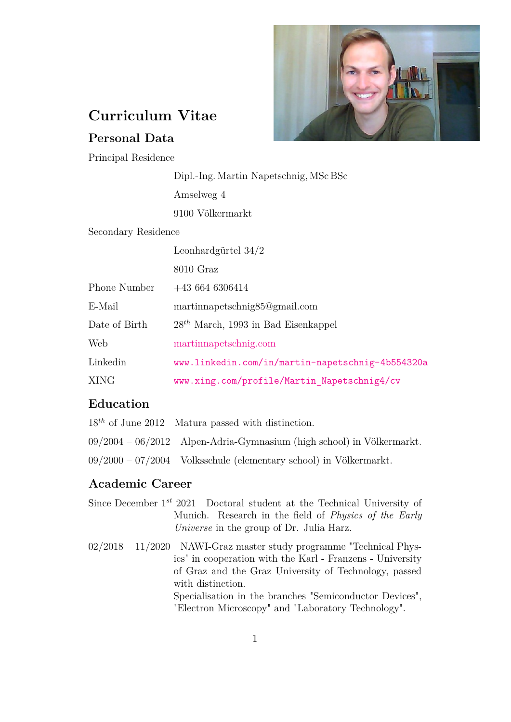

# **Curriculum Vitae**

## **Personal Data**

Principal Residence

|                     | Dipl.-Ing. Martin Napetschnig, MSc BSc           |  |  |  |
|---------------------|--------------------------------------------------|--|--|--|
|                     | Amselweg 4                                       |  |  |  |
|                     | 9100 Völkermarkt                                 |  |  |  |
| Secondary Residence |                                                  |  |  |  |
|                     | Leonhardgürtel $34/2$                            |  |  |  |
|                     | $8010$ Graz                                      |  |  |  |
| <b>Phone Number</b> | $+436646306414$                                  |  |  |  |
| E-Mail              | martinnapetschnig85@gmail.com                    |  |  |  |
| Date of Birth       | $28^{th}$ March, 1993 in Bad Eisenkappel         |  |  |  |
| Web                 | martinnapetschnig.com                            |  |  |  |
| Linkedin            | www.linkedin.com/in/martin-napetschnig-4b554320a |  |  |  |
| <b>XING</b>         | www.xing.com/profile/Martin Napetschnig4/cv      |  |  |  |

## **Education**

18*th* of June 2012 Matura passed with distinction.

- 09/2004 06/2012 Alpen-Adria-Gymnasium (high school) in Völkermarkt.
- 09/2000 07/2004 Volksschule (elementary school) in Völkermarkt.

### **Academic Career**

- Since December  $1^{st}$  2021 Doctoral student at the Technical University of Munich. Research in the field of *Physics of the Early Universe* in the group of Dr. Julia Harz.
- 02/2018 11/2020 NAWI-Graz master study programme "Technical Physics" in cooperation with the Karl - Franzens - University of Graz and the Graz University of Technology, passed with distinction. Specialisation in the branches "Semiconductor Devices", "Electron Microscopy" and "Laboratory Technology".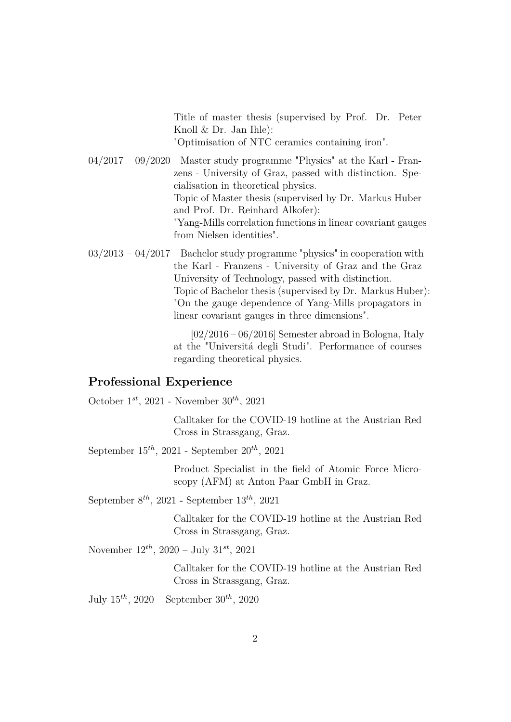Title of master thesis (supervised by Prof. Dr. Peter Knoll & Dr. Jan Ihle): "Optimisation of NTC ceramics containing iron".

- $04/2017 09/2020$  Master study programme "Physics" at the Karl Franzens - University of Graz, passed with distinction. Specialisation in theoretical physics. Topic of Master thesis (supervised by Dr. Markus Huber and Prof. Dr. Reinhard Alkofer): "Yang-Mills correlation functions in linear covariant gauges from Nielsen identities".
- $03/2013 04/2017$  Bachelor study programme "physics" in cooperation with the Karl - Franzens - University of Graz and the Graz University of Technology, passed with distinction. Topic of Bachelor thesis (supervised by Dr. Markus Huber): "On the gauge dependence of Yang-Mills propagators in linear covariant gauges in three dimensions".

 $[02/2016 - 06/2016]$  Semester abroad in Bologna, Italy at the "Universitá degli Studi". Performance of courses regarding theoretical physics.

#### **Professional Experience**

October 1 *st*, 2021 - November 30*th*, 2021

Calltaker for the COVID-19 hotline at the Austrian Red Cross in Strassgang, Graz.

September 15*th*, 2021 - September 20*th*, 2021

Product Specialist in the field of Atomic Force Microscopy (AFM) at Anton Paar GmbH in Graz.

September 8 *th*, 2021 - September 13*th*, 2021

Calltaker for the COVID-19 hotline at the Austrian Red Cross in Strassgang, Graz.

November 12*th*, 2020 – July 31*st*, 2021

Calltaker for the COVID-19 hotline at the Austrian Red Cross in Strassgang, Graz.

July 15*th*, 2020 – September 30*th*, 2020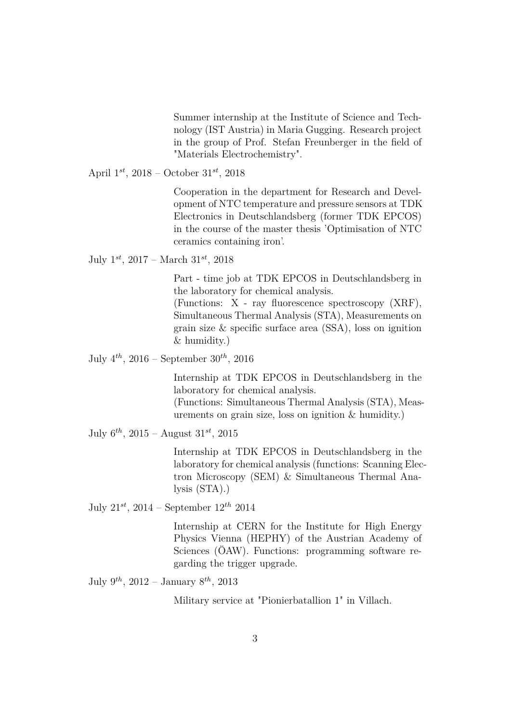Summer internship at the Institute of Science and Technology (IST Austria) in Maria Gugging. Research project in the group of Prof. Stefan Freunberger in the field of "Materials Electrochemistry".

April 1 *st*, 2018 – October 31*st*, 2018

Cooperation in the department for Research and Development of NTC temperature and pressure sensors at TDK Electronics in Deutschlandsberg (former TDK EPCOS) in the course of the master thesis 'Optimisation of NTC ceramics containing iron'.

July 1 *st*, 2017 – March 31*st*, 2018

Part - time job at TDK EPCOS in Deutschlandsberg in the laboratory for chemical analysis.

(Functions: X - ray fluorescence spectroscopy (XRF), Simultaneous Thermal Analysis (STA), Measurements on grain size & specific surface area (SSA), loss on ignition & humidity.)

July 4 *th*, 2016 – September 30*th*, 2016

Internship at TDK EPCOS in Deutschlandsberg in the laboratory for chemical analysis.

(Functions: Simultaneous Thermal Analysis (STA), Measurements on grain size, loss on ignition & humidity.)

July 6 *th*, 2015 – August 31*st*, 2015

Internship at TDK EPCOS in Deutschlandsberg in the laboratory for chemical analysis (functions: Scanning Electron Microscopy (SEM) & Simultaneous Thermal Analysis (STA).)

July 21*st*, 2014 – September 12*th* 2014

Internship at CERN for the Institute for High Energy Physics Vienna (HEPHY) of the Austrian Academy of Sciences (ÖAW). Functions: programming software regarding the trigger upgrade.

July 9 *th*, 2012 – January 8 *th*, 2013

Military service at "Pionierbatallion 1" in Villach.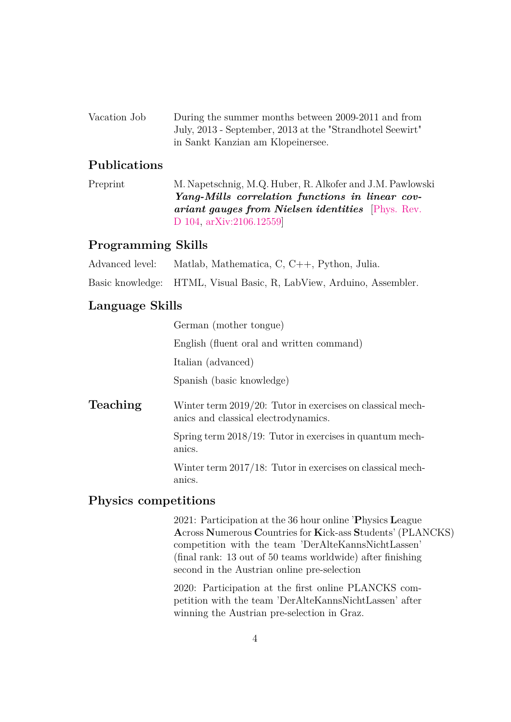Vacation Job During the summer months between 2009-2011 and from July, 2013 - September, 2013 at the "Strandhotel Seewirt" in Sankt Kanzian am Klopeinersee.

## **Publications**

Preprint M. Napetschnig, M.Q. Huber, R. Alkofer and J.M. Pawlowski *Yang-Mills correlation functions in linear covariant gauges from Nielsen identities* [\[Phys. Rev.](https://journals.aps.org/prd/abstract/10.1103/PhysRevD.104.054003) [D 104,](https://journals.aps.org/prd/abstract/10.1103/PhysRevD.104.054003) [arXiv:2106.12559\]](https://arxiv.org/abs/2106.12559)

#### **Programming Skills**

| Advanced level: |  | Matlab, Mathematica, C, C++, Python, Julia. |  |  |  |  |
|-----------------|--|---------------------------------------------|--|--|--|--|
|-----------------|--|---------------------------------------------|--|--|--|--|

Basic knowledge: HTML, Visual Basic, R, LabView, Arduino, Assembler.

#### **Language Skills**

|          | German (mother tongue)                                                                                |
|----------|-------------------------------------------------------------------------------------------------------|
|          | English (fluent oral and written command)                                                             |
|          | Italian (advanced)                                                                                    |
|          | Spanish (basic knowledge)                                                                             |
| Teaching | Winter term $2019/20$ : Tutor in exercises on classical mech-<br>anics and classical electrodynamics. |
|          | Spring term 2018/19: Tutor in exercises in quantum mech-<br>anics.                                    |
|          | Winter term $2017/18$ : Tutor in exercises on classical mech-<br>anics.                               |

#### **Physics competitions**

2021: Participation at the 36 hour online '**P**hysics **L**eague **A**cross **N**umerous **C**ountries for **K**ick-ass **S**tudents' (PLANCKS) competition with the team 'DerAlteKannsNichtLassen' (final rank: 13 out of 50 teams worldwide) after finishing second in the Austrian online pre-selection

2020: Participation at the first online PLANCKS competition with the team 'DerAlteKannsNichtLassen' after winning the Austrian pre-selection in Graz.